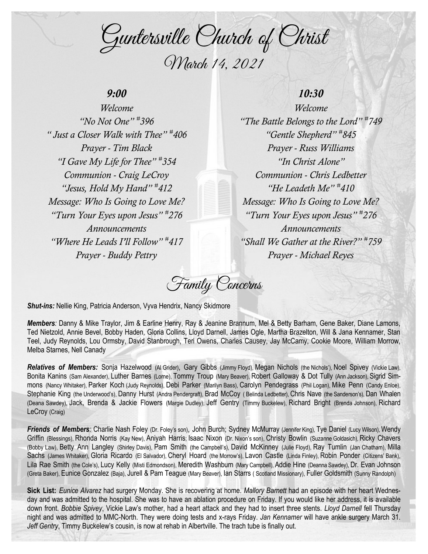Guntersville Church of Christ March 14, 2021

### *9:00*

*Welcome "No Not One" # 396 " Just a Closer Walk with Thee" # 406 Prayer - Tim Black "I Gave My Life for Thee" # 354 Communion - Craig LeCroy "Jesus, Hold My Hand" # 412 Message: Who Is Going to Love Me? "Turn Your Eyes upon Jesus" # 276 Announcements "Where He Leads I'll Follow" # 417 Prayer - Buddy Pettry*

# *10:30*

*Welcome "The Battle Belongs to the Lord" # 749 "Gentle Shepherd" # 845 Prayer - Russ Williams "In Christ Alone" Communion - Chris Ledbetter "He Leadeth Me" # 410 Message: Who Is Going to Love Me? "Turn Your Eyes upon Jesus" # 276 Announcements "Shall We Gather at the River?" # 759 Prayer - Michael Reyes*

Family Concerns

*Shut-ins:* Nellie King, Patricia Anderson, Vyva Hendrix, Nancy Skidmore

*Members:* Danny & Mike Traylor, Jim & Earline Henry, Ray & Jeanine Brannum, Mel & Betty Barham, Gene Baker, Diane Lamons, Ted Nietzold, Annie Bevel, Bobby Haden, Gloria Collins, Lloyd Darnell, James Ogle, Martha Brazelton, Will & Jana Kennamer, Stan Teel, Judy Reynolds, Lou Ormsby, David Stanbrough, Teri Owens, Charles Causey, Jay McCamy, Cookie Moore, William Morrow, Melba Starnes, Nell Canady

*Relatives of Members:* Sonja Hazelwood (Al Grider), Gary Gibbs (Jimmy Floyd), Megan Nichols (the Nichols'), Noel Spivey (Vickie Law), Bonita Kanins (Sam Alexander), Luther Barnes (Lorne), Tommy Troup (Mary Beaver), Robert Galloway & Dot Tully (Ann Jackson), Sigrid Simmons (Nancy Whitaker), Parker Koch (Judy Reynolds), Debi Parker (Marilyn Bass), Carolyn Pendegrass (Phil Logan), Mike Penn (Candy Enloe), Stephanie King (the Underwood's), Danny Hurst (Andra Pendergraft), Brad McCoy ( Belinda Ledbetter), Chris Nave (the Sanderson's), Dan Whalen (Deana Sawdey), Jack, Brenda & Jackie Flowers (Margie Dudley), Jeff Gentry (Timmy Buckelew), Richard Bright (Brenda Johnson), Richard LeCroy (Craig)

*Friends of Members:* Charlie Nash Foley (Dr. Foley's son), John Burch; Sydney McMurray (Jennifer King), Tye Daniel (Lucy Wilson), Wendy Griffin (Blessings), Rhonda Norris (Kay New), Aniyah Harris; Isaac Nixon (Dr. Nixon's son), Christy Bowlin (Suzanne Goldasich), Ricky Chavers (Bobby Law), Betty Ann Langley (Shirley Davis), Pam Smith (the Campbell's), David McKinney (Julie Floyd), Ray Tumlin (Jan Chatham), Milla Sachs (James Whitaker), Gloria Ricardo (El Salvador), Cheryl Hoard (the Morrow's), Lavon Castle (Linda Finley), Robin Ponder (Citizens' Bank), Lila Rae Smith (the Cole's), Lucy Kelly (Misti Edmondson), Meredith Washburn (Mary Campbell), Addie Hine (Deanna Sawdey), Dr. Evan Johnson (Greta Baker), Eunice Gonzalez (Baja), Jurell & Pam Teague (Mary Beaver), Ian Starrs ( Scotland Missionary), Fuller Goldsmith (Sunny Randolph)

**Sick List:** *Eunice Alvarez* had surgery Monday. She is recovering at home. *Mallory Barnett* had an episode with her heart Wednesday and was admitted to the hospital. She was to have an ablation procedure on Friday. If you would like her address, it is available down front. *Bobbie Spivey*, Vickie Law's mother, had a heart attack and they had to insert three stents. *Lloyd Darnell* fell Thursday night and was admitted to MMC-North. They were doing tests and x-rays Friday. *Jan Kennamer* will have ankle surgery March 31. *Jeff Gentry*, Timmy Buckelew's cousin, is now at rehab in Albertville. The trach tube is finally out.